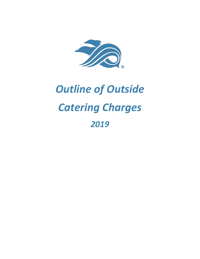

# *Outline of Outside Catering Charges 2019*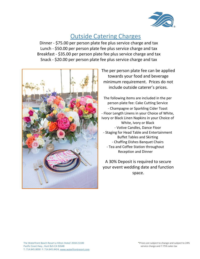

#### Outside Catering Charges

Dinner - \$75.00 per person plate fee plus service charge and tax Lunch - \$50.00 per person plate fee plus service charge and tax Breakfast - \$35.00 per person plate fee plus service charge and tax Snack - \$20.00 per person plate fee plus service charge and tax



The per person plate fee can be applied towards your food and beverage minimum requirement. Prices do not include outside caterer's prices.

The following items are included in the per person plate fee: Cake Cutting Service - Champagne or Sparkling Cider Toast - Floor Length Linens in your Choice of White, Ivory or Black Linen Napkins in your Choice of White, Ivory or Black - Votive Candles, Dance Floor - Staging for Head Table and Entertainment Buffet Tables and Skirting - Chaffing Dishes Banquet Chairs - Tea and Coffee Station throughout Reception and Dinner

A 30% Deposit is required to secure your event wedding date and function space.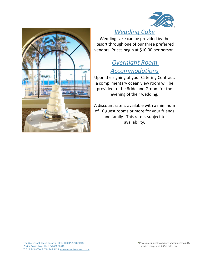



## *Wedding Cake*

Wedding cake can be provided by the Resort through one of our three preferred vendors. Prices begin at \$10.00 per person.

### *Overnight Room Accommodations*

Upon the signing of your Catering Contract, a complimentary ocean view room will be provided to the Bride and Groom for the evening of their wedding.

A discount rate is available with a minimum of 10 guest rooms or more for your friends and family. This rate is subject to availability.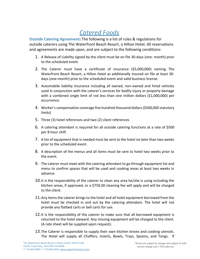# *Catered Foods*

**Outside Catering Agreement:** The following is a list of rules & regulations for outside caterers using The Waterfront Beach Resort, a Hilton Hotel. All reservations and agreements are made upon, and are subject to the following conditions:

- 1. A Release of Liability signed by the client must be on file 30-days (one- month) prior to the scheduled event.
- 2. The Caterer must have a certificate of insurance (\$5,000,000) naming The Waterfront Beach Resort, a Hilton Hotel as additionally insured on file at least 30 days (one-month) prior to the scheduled event and valid business license.
- 3. Automobile liability insurance including all owned, non-owned and hired vehicles used in conjunction with the caterer's services for bodily injury or property damage with a combined single limit of not less than one million dollars (\$1,000,000) per occurrence.
- 4. Worker's compensation coverage five hundred thousand dollars (\$500,000 statutory limits)
- 5. Three (3) hotel references and two (2) client references
- 6. A catering attendant is required for all outside catering functions at a rate of \$500 per 8-hour shift
- 7. A list of equipment that is needed must be sent to the hotel no later than two weeks prior to the scheduled event.
- 8. A description of the menus and all items must be sent to hotel two weeks prior to the event.
- 9. The caterer must meet with the catering attendant to go through equipment list and menu to confirm spaces that will be used and cooking areas at least two weeks in advance.
- 10.It is the responsibility of the caterer to clean any area he/she is using including the kitchen areas, if approved, or a \$750.00 cleaning fee will apply and will be charged to the client.
- 11. Any items the caterer brings to the hotel and all hotel equipment borrowed from the hotel must be checked in and out by the catering attendant. The hotel will not provide any flatbed carts or bell carts for use.
- 12.It is the responsibility of the caterer to make sure that all borrowed equipment is returned to the hotel steward. Any missing equipment will be charged to the client. (A rate sheet will be supplied upon request).
- 13.The Caterer is responsible to supply their own kitchen knives and cooking utensils. The Hotel will supply all Chaffers, Inserts, Bowls, Trays, Spoons, and Tongs. If